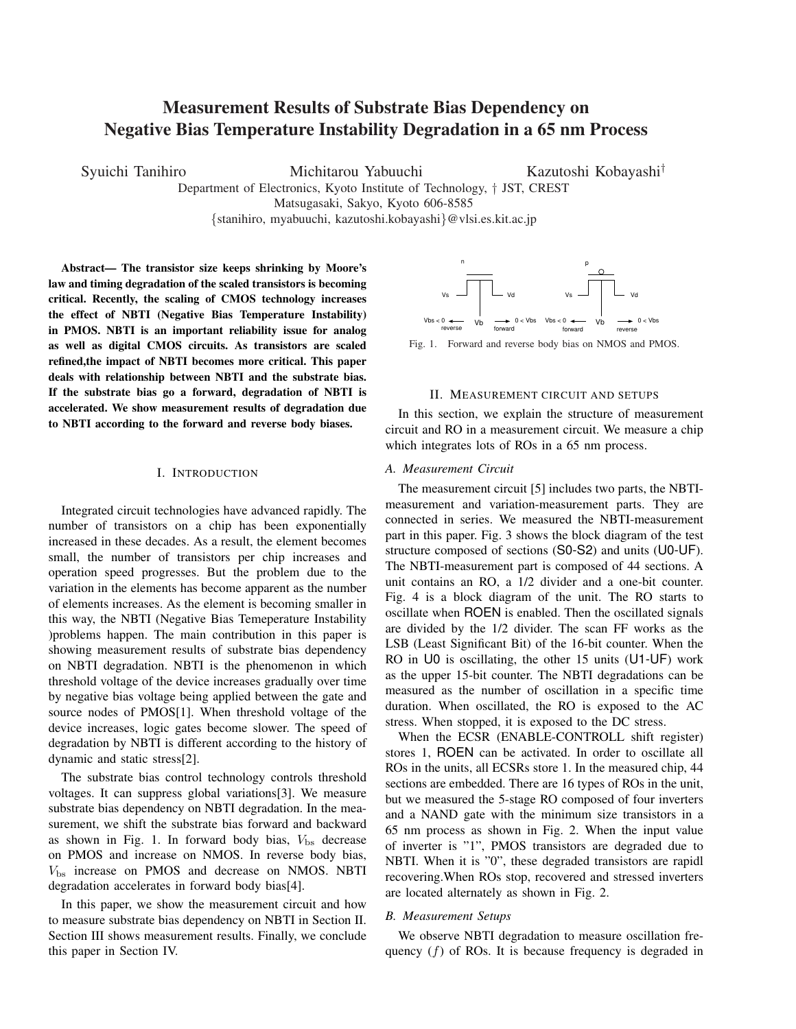# Measurement Results of Substrate Bias Dependency on Negative Bias Temperature Instability Degradation in a 65 nm Process

Syuichi Tanihiro Michitarou Yabuuchi Kazutoshi Kobayashi*†*

Department of Electronics, Kyoto Institute of Technology, *†* JST, CREST Matsugasaki, Sakyo, Kyoto 606-8585

*{*stanihiro, myabuuchi, kazutoshi.kobayashi*}*@vlsi.es.kit.ac.jp

Abstract— The transistor size keeps shrinking by Moore's law and timing degradation of the scaled transistors is becoming critical. Recently, the scaling of CMOS technology increases the effect of NBTI (Negative Bias Temperature Instability) in PMOS. NBTI is an important reliability issue for analog as well as digital CMOS circuits. As transistors are scaled refined,the impact of NBTI becomes more critical. This paper deals with relationship between NBTI and the substrate bias. If the substrate bias go a forward, degradation of NBTI is accelerated. We show measurement results of degradation due to NBTI according to the forward and reverse body biases.

#### I. INTRODUCTION

Integrated circuit technologies have advanced rapidly. The number of transistors on a chip has been exponentially increased in these decades. As a result, the element becomes small, the number of transistors per chip increases and operation speed progresses. But the problem due to the variation in the elements has become apparent as the number of elements increases. As the element is becoming smaller in this way, the NBTI (Negative Bias Temeperature Instability )problems happen. The main contribution in this paper is showing measurement results of substrate bias dependency on NBTI degradation. NBTI is the phenomenon in which threshold voltage of the device increases gradually over time by negative bias voltage being applied between the gate and source nodes of PMOS[1]. When threshold voltage of the device increases, logic gates become slower. The speed of degradation by NBTI is different according to the history of dynamic and static stress[2].

The substrate bias control technology controls threshold voltages. It can suppress global variations[3]. We measure substrate bias dependency on NBTI degradation. In the measurement, we shift the substrate bias forward and backward as shown in Fig. 1. In forward body bias,  $V_{\text{bs}}$  decrease on PMOS and increase on NMOS. In reverse body bias, *V*bs increase on PMOS and decrease on NMOS. NBTI degradation accelerates in forward body bias[4].

In this paper, we show the measurement circuit and how to measure substrate bias dependency on NBTI in Section II. Section III shows measurement results. Finally, we conclude this paper in Section IV.



Fig. 1. Forward and reverse body bias on NMOS and PMOS.

### II. MEASUREMENT CIRCUIT AND SETUPS

In this section, we explain the structure of measurement circuit and RO in a measurement circuit. We measure a chip which integrates lots of ROs in a 65 nm process.

## *A. Measurement Circuit*

The measurement circuit [5] includes two parts, the NBTImeasurement and variation-measurement parts. They are connected in series. We measured the NBTI-measurement part in this paper. Fig. 3 shows the block diagram of the test structure composed of sections (S0-S2) and units (U0-UF). The NBTI-measurement part is composed of 44 sections. A unit contains an RO, a 1/2 divider and a one-bit counter. Fig. 4 is a block diagram of the unit. The RO starts to oscillate when ROEN is enabled. Then the oscillated signals are divided by the 1/2 divider. The scan FF works as the LSB (Least Significant Bit) of the 16-bit counter. When the RO in U0 is oscillating, the other 15 units (U1-UF) work as the upper 15-bit counter. The NBTI degradations can be measured as the number of oscillation in a specific time duration. When oscillated, the RO is exposed to the AC stress. When stopped, it is exposed to the DC stress.

When the ECSR (ENABLE-CONTROLL shift register) stores 1, ROEN can be activated. In order to oscillate all ROs in the units, all ECSRs store 1. In the measured chip, 44 sections are embedded. There are 16 types of ROs in the unit, but we measured the 5-stage RO composed of four inverters and a NAND gate with the minimum size transistors in a 65 nm process as shown in Fig. 2. When the input value of inverter is "1", PMOS transistors are degraded due to NBTI. When it is "0", these degraded transistors are rapidl recovering.When ROs stop, recovered and stressed inverters are located alternately as shown in Fig. 2.

## *B. Measurement Setups*

We observe NBTI degradation to measure oscillation frequency (*f*) of ROs. It is because frequency is degraded in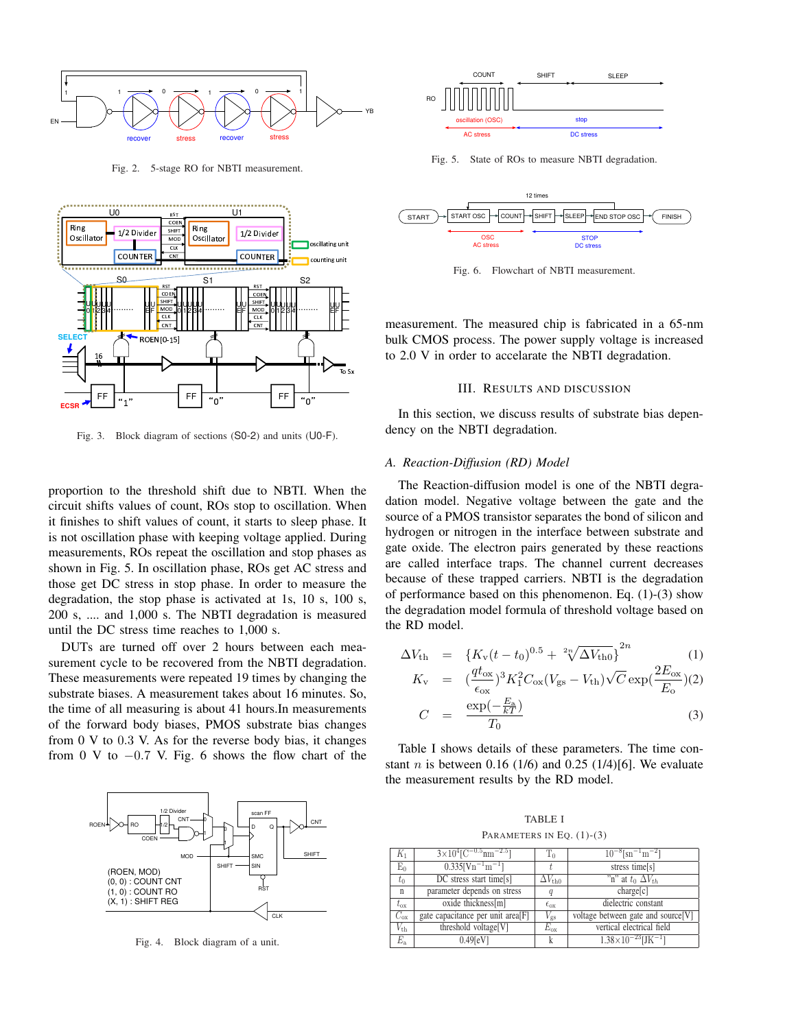

Fig. 2. 5-stage RO for NBTI measurement.



Fig. 3. Block diagram of sections (S0-2) and units (U0-F).

proportion to the threshold shift due to NBTI. When the circuit shifts values of count, ROs stop to oscillation. When it finishes to shift values of count, it starts to sleep phase. It is not oscillation phase with keeping voltage applied. During measurements, ROs repeat the oscillation and stop phases as shown in Fig. 5. In oscillation phase, ROs get AC stress and those get DC stress in stop phase. In order to measure the degradation, the stop phase is activated at 1s, 10 s, 100 s, 200 s, .... and 1,000 s. The NBTI degradation is measured until the DC stress time reaches to 1,000 s.

DUTs are turned off over 2 hours between each measurement cycle to be recovered from the NBTI degradation. These measurements were repeated 19 times by changing the substrate biases. A measurement takes about 16 minutes. So, the time of all measuring is about 41 hours.In measurements of the forward body biases, PMOS substrate bias changes from 0 V to 0*.*3 V. As for the reverse body bias, it changes from 0 V to *−*0*.*7 V. Fig. 6 shows the flow chart of the



Fig. 4. Block diagram of a unit.



Fig. 5. State of ROs to measure NBTI degradation.



Fig. 6. Flowchart of NBTI measurement.

measurement. The measured chip is fabricated in a 65-nm bulk CMOS process. The power supply voltage is increased to 2.0 V in order to accelarate the NBTI degradation.

## III. RESULTS AND DISCUSSION

In this section, we discuss results of substrate bias dependency on the NBTI degradation.

#### *A. Reaction-Diffusion (RD) Model*

The Reaction-diffusion model is one of the NBTI degradation model. Negative voltage between the gate and the source of a PMOS transistor separates the bond of silicon and hydrogen or nitrogen in the interface between substrate and gate oxide. The electron pairs generated by these reactions are called interface traps. The channel current decreases because of these trapped carriers. NBTI is the degradation of performance based on this phenomenon. Eq. (1)-(3) show the degradation model formula of threshold voltage based on the RD model.

$$
\Delta V_{\rm th} = \{K_{\rm v}(t - t_0)^{0.5} + \sqrt[2n]{\Delta V_{\rm th0}}\}^{2n} \tag{1}
$$

$$
K_{\rm v} = \left(\frac{qt_{\rm ox}}{\epsilon_{\rm ox}}\right)^3 K_1^2 C_{\rm ox} (V_{\rm gs} - V_{\rm th}) \sqrt{C} \exp\left(\frac{2E_{\rm ox}}{E_{\rm o}}\right) (2)
$$
  

$$
C = \frac{\exp\left(-\frac{E_{\rm a}}{kT}\right)}{T}
$$
(3)

Table I shows details of these parameters. The time constant *n* is between 0.16 (1/6) and 0.25 (1/4)[6]. We evaluate the measurement results by the RD model.

 $T_0$ 

TABLE I PARAMETERS IN EQ.  $(1)-(3)$ 

| $K_1$           | $3\times10^{4}$ [C <sup>-0.5</sup> nm <sup>-2.5</sup> ] | $T_0$                | $10^{-8}$ [sn <sup>-1</sup> m <sup>-2</sup> ] |  |
|-----------------|---------------------------------------------------------|----------------------|-----------------------------------------------|--|
| $E_0$           | $0.335$ [Vn <sup>-1</sup> m <sup>-1</sup> ]             |                      | stress time[s]                                |  |
| $t_0$           | $\overline{DC}$ stress start time[s]                    | $\Delta V_{\rm th0}$ | "n" at $t_0 \Delta V_{th}$                    |  |
| $\mathbf{n}$    | parameter depends on stress                             | q                    | charge[c]                                     |  |
| $t_{\rm ox}$    | oxide thickness[m]                                      | $\epsilon_{\rm ox}$  | dielectric constant                           |  |
| $C_{\rm ox}$    | gate capacitance per unit area[F]                       | $V_{\rm gs}$         | voltage between gate and source[V]            |  |
| $V_{\text{th}}$ | threshold voltage[V]                                    | $E_{\rm ox}$         | vertical electrical field                     |  |
| $E_{\rm a}$     | $0.49$ [eV]                                             | k                    | $1.38\times10^{-23}$ [JK <sup>-1</sup> ]      |  |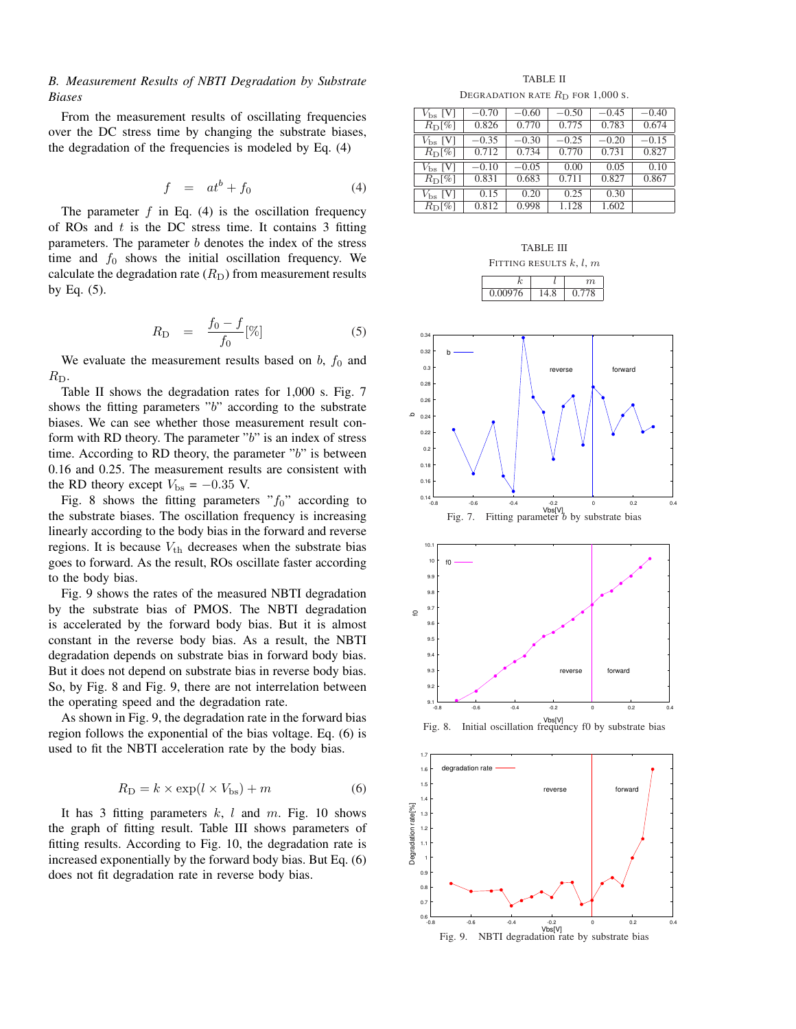# *B. Measurement Results of NBTI Degradation by Substrate Biases*

From the measurement results of oscillating frequencies over the DC stress time by changing the substrate biases, the degradation of the frequencies is modeled by Eq. (4)

$$
f = at^b + f_0 \tag{4}
$$

The parameter  $f$  in Eq. (4) is the oscillation frequency of ROs and *t* is the DC stress time. It contains 3 fitting parameters. The parameter *b* denotes the index of the stress time and  $f_0$  shows the initial oscillation frequency. We calculate the degradation rate  $(R<sub>D</sub>)$  from measurement results by Eq. (5).

$$
R_{\rm D} = \frac{f_0 - f}{f_0} [\%]
$$
 (5)

We evaluate the measurement results based on  $b$ ,  $f_0$  and *R*<sub>D</sub>.

Table II shows the degradation rates for 1,000 s. Fig. 7 shows the fitting parameters "*b*" according to the substrate biases. We can see whether those measurement result conform with RD theory. The parameter "*b*" is an index of stress time. According to RD theory, the parameter "*b*" is between 0.16 and 0.25. The measurement results are consistent with the RD theory except  $V_{\text{bs}} = -0.35$  V.

Fig. 8 shows the fitting parameters  $rf_0$ " according to the substrate biases. The oscillation frequency is increasing linearly according to the body bias in the forward and reverse regions. It is because  $V_{\text{th}}$  decreases when the substrate bias goes to forward. As the result, ROs oscillate faster according to the body bias.

Fig. 9 shows the rates of the measured NBTI degradation by the substrate bias of PMOS. The NBTI degradation is accelerated by the forward body bias. But it is almost constant in the reverse body bias. As a result, the NBTI degradation depends on substrate bias in forward body bias. But it does not depend on substrate bias in reverse body bias. So, by Fig. 8 and Fig. 9, there are not interrelation between the operating speed and the degradation rate.

As shown in Fig. 9, the degradation rate in the forward bias region follows the exponential of the bias voltage. Eq. (6) is used to fit the NBTI acceleration rate by the body bias.

$$
R_{\rm D} = k \times \exp(l \times V_{\rm bs}) + m \tag{6}
$$

It has 3 fitting parameters *k*, *l* and *m*. Fig. 10 shows the graph of fitting result. Table III shows parameters of fitting results. According to Fig. 10, the degradation rate is increased exponentially by the forward body bias. But Eq. (6) does not fit degradation rate in reverse body bias.

TABLE II DEGRADATION RATE  $R_D$  for 1,000 s.

| $V_{\rm bs}$ [V] | $-0.70$ | $-0.60$ | $-0.50$ | $-0.45$ | $-0.40$ |
|------------------|---------|---------|---------|---------|---------|
| $R_{\rm D}[\%]$  | 0.826   | 0.770   | 0.775   | 0.783   | 0.674   |
| $V_{\rm bs}$ [V] | $-0.35$ | $-0.30$ | $-0.25$ | $-0.20$ | $-0.15$ |
| $R_{\rm D}[\%]$  | 0.712   | 0.734   | 0.770   | 0.731   | 0.827   |
|                  |         |         |         |         |         |
| $V_{\rm bs}$ [V] | $-0.10$ | $-0.05$ | 0.00    | 0.05    | 0.10    |
| $R_{\rm D}$ [%]  | 0.831   | 0.683   | 0.711   | 0.827   | 0.867   |
| $V_{\rm bs}$ [V] | 0.15    | 0.20    | 0.25    | 0.30    |         |

TABLE III FITTING RESULTS *k*, *l*, *m*

*k l m* 0.00976 14.8 0.778